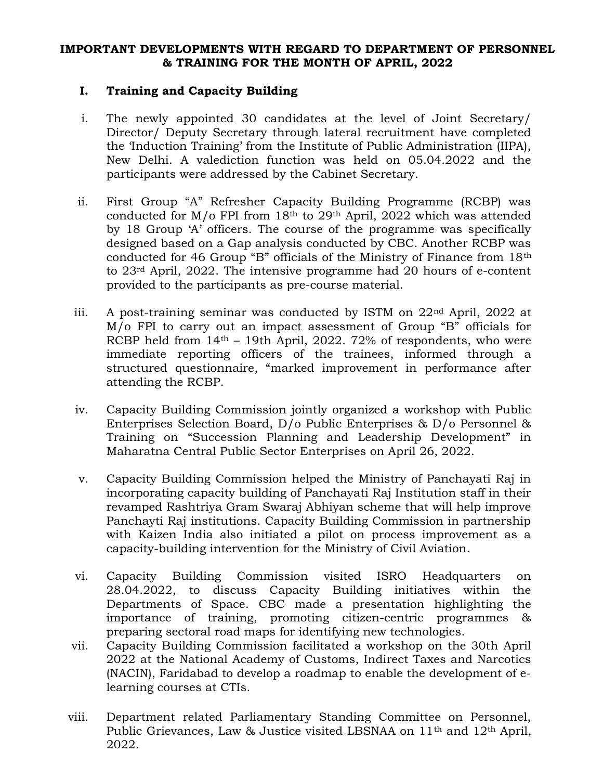### IMPORTANT DEVELOPMENTS WITH REGARD TO DEPARTMENT OF PERSONNEL & TRAINING FOR THE MONTH OF APRIL, 2022

### I. Training and Capacity Building

- i. The newly appointed 30 candidates at the level of Joint Secretary/ Director/ Deputy Secretary through lateral recruitment have completed the 'Induction Training' from the Institute of Public Administration (IIPA), New Delhi. A valediction function was held on 05.04.2022 and the participants were addressed by the Cabinet Secretary.
- ii. First Group "A" Refresher Capacity Building Programme (RCBP) was conducted for  $M/\sigma$  FPI from 18<sup>th</sup> to 29<sup>th</sup> April, 2022 which was attended by 18 Group 'A' officers. The course of the programme was specifically designed based on a Gap analysis conducted by CBC. Another RCBP was conducted for 46 Group "B" officials of the Ministry of Finance from 18th to 23rd April, 2022. The intensive programme had 20 hours of e-content provided to the participants as pre-course material.
- iii. A post-training seminar was conducted by ISTM on 22nd April, 2022 at M/o FPI to carry out an impact assessment of Group "B" officials for RCBP held from  $14<sup>th</sup> - 19th$  April, 2022. 72% of respondents, who were immediate reporting officers of the trainees, informed through a structured questionnaire, "marked improvement in performance after attending the RCBP.
- iv. Capacity Building Commission jointly organized a workshop with Public Enterprises Selection Board, D/o Public Enterprises & D/o Personnel & Training on "Succession Planning and Leadership Development" in Maharatna Central Public Sector Enterprises on April 26, 2022.
- v. Capacity Building Commission helped the Ministry of Panchayati Raj in incorporating capacity building of Panchayati Raj Institution staff in their revamped Rashtriya Gram Swaraj Abhiyan scheme that will help improve Panchayti Raj institutions. Capacity Building Commission in partnership with Kaizen India also initiated a pilot on process improvement as a capacity-building intervention for the Ministry of Civil Aviation.
- vi. Capacity Building Commission visited ISRO Headquarters on 28.04.2022, to discuss Capacity Building initiatives within the Departments of Space. CBC made a presentation highlighting the importance of training, promoting citizen-centric programmes & preparing sectoral road maps for identifying new technologies.
- vii. Capacity Building Commission facilitated a workshop on the 30th April 2022 at the National Academy of Customs, Indirect Taxes and Narcotics (NACIN), Faridabad to develop a roadmap to enable the development of elearning courses at CTIs.
- viii. Department related Parliamentary Standing Committee on Personnel, Public Grievances, Law & Justice visited LBSNAA on 11<sup>th</sup> and 12<sup>th</sup> April, 2022.